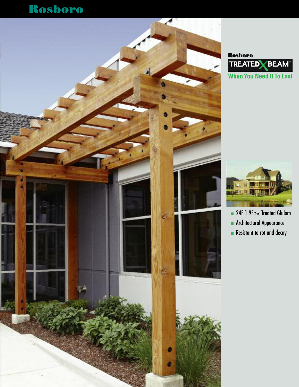# Rosboro







- 1 24F 1.9E(True) Treated Glulam
- **n** Architectural Appearance
- **n** Resistant to rot and decay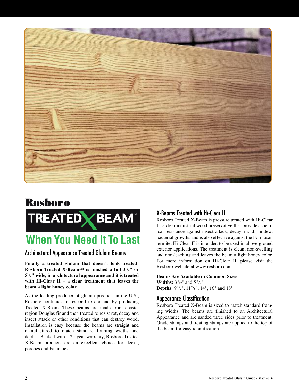

# Rosboro TREATED **Y BEAM**

# **When You Need It To Last**

### Architectural Appearance Treated Glulam Beams

**Finally a treated glulam that doesn't look treated! Rosboro Treated X-Beam™ is finished a full 31/2" or 51/2" wide, in architectural appearance and it is treated with Hi-Clear II – a clear treatment that leaves the beam a light honey color.**

As the leading producer of glulam products in the U.S., Rosboro continues to respond to demand by producing Treated X-Beam. These beams are made from coastal region Douglas fir and then treated to resist rot, decay and insect attack or other conditions that can destroy wood. Installation is easy because the beams are straight and manufactured to match standard framing widths and depths. Backed with a 25-year warranty, Rosboro Treated X-Beam products are an excellent choice for decks, porches and balconies.

## X-Beams Treated with Hi-Clear II

Rosboro Treated X-Beam is pressure treated with Hi-Clear II, a clear industrial wood preservative that provides chemical resistance against insect attack, decay, mold, mildew, bacterial growths and is also effective against the Formosan termite. Hi-Clear II is intended to be used in above ground exterior applications. The treatment is clean, non-swelling and non-leaching and leaves the beam a light honey color. For more information on Hi-Clear II, please visit the Rosboro website at www.rosboro.com.

#### **Beams Are Available in Common Sizes Widths:**  $3^{1}/2"$  and  $5^{1}/2"$

**Depths:** 91/2", 117/8", 14", 16" and 18"

#### Appearance Classification

Rosboro Treated X-Beam is sized to match standard framing widths. The beams are finished to an Architectural Appearance and are sanded three sides prior to treatment. Grade stamps and treating stamps are applied to the top of the beam for easy identification.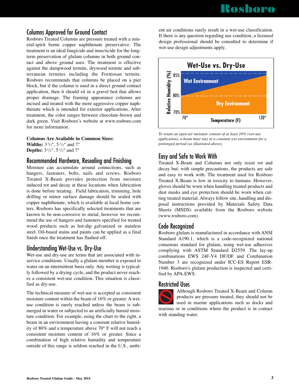## Columns Approved for Ground Contact

Rosboro Treated Columns are pressure treated with a mineral-spirit borne copper naphthenate preservative. The treatment is an ideal fungicide and insecticide for the longterm preservation of glulam columns in both ground contact and above ground uses. The treatment is effective against the dampwood termite, drywood termite and subterranean termites including the Formosan termite. Rosboro recommends that columns be placed on a pier block, but if the column is used in a direct ground contact application, then it should sit in a gravel bed that allows proper drainage. The framing appearance columns are incised and treated with the more aggressive copper naphthenate which is intended for exterior applications. After treatment, the color ranges between chocolate-brown and dark green. Visit Rosboro's website at www.rosboro.com for more information.

#### **Columns Are Available in Common Sizes:**

**Widths:**  $3^{1}/2"$ ,  $5^{1}/2"$  and  $7"$ **Depths:** 31/2", 5 1/2" and 7"

#### Recommended Hardware, Resealing and Finishing

Moisture can accumulate around connections, such as hangers, fasteners, bolts, nails and screws. Rosboro Treated X-Beam provides protection from moisture induced rot and decay at these locations when fabrication is done before treating. Field fabrication, trimming, hole drilling or minor surface damage should be sealed with copper naphthenate, which is available at local home centers. Rosboro has specifically selected treatments that are known to be non-corrosive to metal, however we recommend the use of hangers and fasteners specified for treated wood products such as hot-dip galvanized or stainless steel. Oil-based stains and paints can be applied as a final finish once the treatment has flashed off.

### Understanding Wet-Use vs. Dry-Use

Wet-use and dry-use are terms that are associated with inservice conditions. Usually a glulam member is exposed to water on an intermittent basis only. Any wetting is typically followed by a drying cycle, and the product never reaches a consistent wet-use condition. This situation is classified as dry-use.

The technical measure of wet-use is accepted as consistent moisture content within the beam of 16% or greater. A wetuse condition is rarely reached unless the beam is submerged in water or subjected to an artificially humid moisture condition. For example, using the chart to the right, a beam in an environment having a constant relative humidity of 80% and a temperature above 70° F will not reach a consistent moisture content of 16% or greater. Since a combination of high relative humidity and temperature outside of this range is seldom reached in the U.S., ambient air conditions rarely result in a wet-use classification. If there is any question regarding use condition, a licensed design professional should be consulted to determine if wet-use design adjustments apply.



*To retain an open-air moisture content of at least 16% (wet-use application), a beam must stay in a constant wet environment for a prolonged period (as illustrated above).*

# Easy and Safe to Work With

Treated X-Beam and Columns not only resist rot and decay but, with simple precautions, the products are safe and easy to work with. The treatment used for Rosboro Treated X-Beam is low in toxicity to humans. However, gloves should be worn when handling treated products and dust masks and eye protection should be worn when cutting treated material. Always follow site, handling and disposal instructions provided by Materials Safety Data Sheets (MSDS) available from the Rosboro website (www.rosboro.com).

### Code Recognized

Rosboro glulam is manufactured in accordance with ANSI Standard A190.1, which is a code-recognized national consensus standard for glulam, using wet-use adhesives complying with ASTM Standard D2559. The lay-up combinations EWS 24F-V4 DF/DF and Combination Number 3 are recognized under ICC-ES Report ESR-1940. Rosboro's glulam production is inspected and certified by APA-EWS.

#### Restricted Uses



Although Rosboro Treated X-Beam and Column products are pressure treated, they should not be used in marine applications such as docks and marinas or in conditions where the product is in contact with standing water.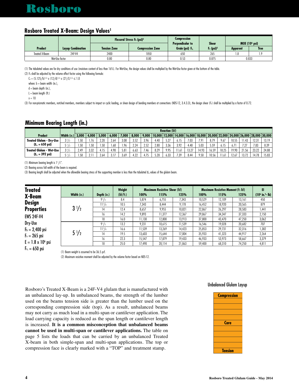# Rosboro

### **Rosboro Treated X-Beam: Design Values1**

|                |                          |                     | Flexural Stress F <sub>b</sub> (psi) <sup>2</sup> | Compression<br><b>Perpendicular to</b> | <b>Shear</b>             | MOE $(106 psi)$ |             |  |
|----------------|--------------------------|---------------------|---------------------------------------------------|----------------------------------------|--------------------------|-----------------|-------------|--|
| <b>Product</b> | <b>Layup Combination</b> | <b>Tension Zone</b> | Compression Zone                                  | Grain (psi) $F_{c}$                    | $F_v$ (psi) <sup>3</sup> | <b>Apparent</b> | <b>True</b> |  |
| Treated X-Beam | 24F-V4                   | 2400                | 1850                                              | 650                                    | 265                      |                 |             |  |
| Wet-Use factor |                          | 0.80                | 0.80                                              | 0.53                                   | 0.875                    | 0.833           |             |  |

(1) The tabulated values are for dry conditions of use (moisture content of less than 16%). For Wet-Use, the design values shall be multiplied by the Wet-Use factor given at the bottom of the table. (2) Fb shall be adjusted by the volume effect factor using the following formula:

 $C_v = (5.125/b)^{1/x}$  x  $(12/d)^{1/x}$  x  $(21/l)^{1/x} \le 1.0$ 

where:  $b =$  beam width (in.),

 $d =$  beam depth  $(in.)$ ,

 $L =$  beam length (ft.)

 $x = 10$ 

(3) For non-prismatic members, notched members, members subject to impact or cyclic loading, or shear design of bending members at connections (NDS-12, 3.4.3.3), the design shear (Fv) shall be multiplied by a factor of 0.72.

#### **Minimum Bearing Length (in.)**

|                                  |             |       | <b>Reaction (lbf)</b> |       |       |       |             |       |                  |      |        |       |                 |       |       |       |       |                                                  |       |
|----------------------------------|-------------|-------|-----------------------|-------|-------|-------|-------------|-------|------------------|------|--------|-------|-----------------|-------|-------|-------|-------|--------------------------------------------------|-------|
| Product                          | Width (in.) | 3,000 | 4,000                 | 5,000 | 6.000 | 7,000 | 8,000       | 9,000 | $10.000$  12.000 |      | 14,000 |       | 16,000   18,000 |       |       |       |       | 20.000  22.000  24.000  26.000   28.000   30.000 |       |
| <b>Treated Glulam - Drv-Use</b>  | $3^{1/2}$   | . 50  | 1.76                  | 2.20  | 2.64  | 3.08  | 352<br>u.ji | 3.96  | 4.40             | 5.27 | 6.15   | 7.03  | 7.91            | d.79  | 9.67  | 10.55 | 1.43  | 12.31                                            | 13.19 |
| $(F_{\alpha} = 650 \text{ psi})$ |             | .50   | .50                   | 1.50  | 1.68  | .96   | 2.24        | 2.52  | 2.80             | 3.36 | 3.92   | 4.48  | 5.03            | 5.59  |       |       | 7.27  | 7.83                                             | 8.39  |
| Treated Glulam - Wet-Use         | $3^{1/2}$   | 2.49  | 3.32                  |       | 4.98  | 5.81  | 6.63        | 7.46  | 8.29             | 9.95 | 11.61  | 13.27 | 493             | 16.59 | 18.25 | 19.90 | 21.56 | 23.22                                            | 24.88 |
| $(F_{c_1} = 392 \text{ psi})$    |             | .58   |                       | 2.64  | 3.17  | 3.69  | 1.22        | 1 7 F | 5.28             | 6.33 | 7.39   | 8.44  | 9.50            | 10.56 | 11.6  | 12.67 | 13.72 | 4.78                                             | 15.83 |

(1) Minimum bearing length is  $1\frac{1}{2}$ .

(2) Bearing across full width of the beam is required.

(3) Bearing length shall be adjusted when the allowable bearing stress of the supporting member is less than the tabulated  $F_{\alpha}$  values of the glulam beam.

| <b>Treated</b>            |                |                 | Weight    |        | <b>Maximum Resistive Shear (lbf)</b> |        | <b>Maximum Resistive Moment (ft.-lbf)</b> | EI     |        |                   |
|---------------------------|----------------|-----------------|-----------|--------|--------------------------------------|--------|-------------------------------------------|--------|--------|-------------------|
| X-Beam                    | Width (in.)    | Depth (in.)     | (lbf/ft.) | 100%   | 115%                                 | 125%   | 100%                                      | 115%   | 125%   | $(106 in.2 - lb)$ |
|                           |                | $9^{1}/2$       | 8.4       | 5,874  | 6,755                                | 7,343  | 10,529                                    | 12,109 | 13,161 | 450               |
| <b>Design</b>             |                | $11\frac{7}{8}$ | 10.5      | 7,343  | 8,444                                | 9,178  | 16,452                                    | 18,920 | 20,565 | 879               |
| <b>Properties</b>         | $3\frac{1}{2}$ | 14              | 12.4      | 8,657  | 9,955                                | 10,821 | 22,867                                    | 26,297 | 28,583 | 1,441             |
| <b>EWS 24F-V4</b>         |                | 16              | 14.2      | 9,893  | 11,377                               | 12,367 | 29,867                                    | 34,347 | 37,333 | 2,150             |
|                           |                | 18              | 16.0      | 11,130 | 12,800                               | 13,913 | 37,800                                    | 43,470 | 47,250 | 3,062             |
| Dry-Use                   |                | $9^{1}/2$       | 13.2      | 9,231  | 10,615                               | 11,539 | 16,546                                    | 19,028 | 20,682 | 707               |
| $F_b = 2,400$ psi         |                | $11^{7}/8$      | 16.6      | 11,539 | 13,269                               | 14,423 | 25,853                                    | 29,731 | 32,316 | 1,382             |
| $F_v = 265$ psi           | $5\frac{1}{2}$ | 14              | 19.5      | 13,603 | 15,644                               | 17,004 | 35,933                                    | 41,323 | 44,917 | 2,264             |
|                           |                | 16              | 22.3      | 15,547 | 17,879                               | 19,433 | 46,933                                    | 53,973 | 58,667 | 3,379             |
| $E = 1.8 \times 10^6$ psi |                | 18              | 25.0      | 17,490 | 20,114                               | 21,863 | 59,400                                    | 68,310 | 74,250 | 4,811             |
| $F_{\alpha} = 650$ psi    | .<br>$\sim$    | $\blacksquare$  |           |        |                                      |        |                                           |        |        |                   |

(1) Beam weight is assumed to be 36.5 pcf.

(2) Maximum resistive moment shall be adjusted by the volume factor based on NDS-12.

Rosboro's Treated X-Beam is a 24F-V4 glulam that is manufactured with an unbalanced lay-up. In unbalanced beams, the strength of the lumber used on the beams tension side is greater than the lumber used on the corresponding compression side (top). As a result, unbalanced beams may not carry as much load in a multi-span or cantilever application. The load carrying capacity is reduced as the span length or cantilever length is increased. **It is a common misconception that unbalanced beams cannot be used in multi-span or cantilever applications.** The table on page 5 lists the loads that can be carried by an unbalanced Treated X-beam in both simple-span and multi-span applications. The top or compression face is clearly marked with a "TOP" and treatment stamp.

#### Unbalanced Glulam Layup

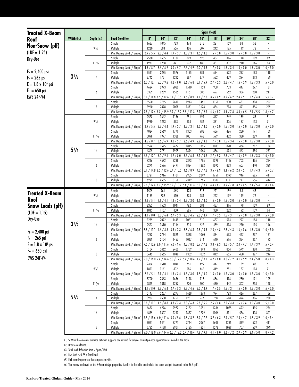| <b>Treated X-Beam</b>     |                |             |                                                                                                                 | Span (feet)                                                   |                   |                                         |                                                               |                       |                   |                       |                                                 |                  |                                |
|---------------------------|----------------|-------------|-----------------------------------------------------------------------------------------------------------------|---------------------------------------------------------------|-------------------|-----------------------------------------|---------------------------------------------------------------|-----------------------|-------------------|-----------------------|-------------------------------------------------|------------------|--------------------------------|
| Roof                      | Width (in.)    | Depth (in.) | <b>Load Condition</b>                                                                                           | 8'                                                            | 10'               | 12"                                     | 14'                                                           | 16'                   | 18'               | 20'                   | 24'                                             | 28'              | 32"                            |
|                           |                |             | Simple                                                                                                          | 1637                                                          | 1045              | 723                                     | 478                                                           | 318                   | 221               | 159                   | 88                                              | 53               | $\overline{\phantom{a}}$       |
| Non-Snow (plf)            |                | $9^{1}/2$   | Multiple                                                                                                        | 1260                                                          | 804               | 556                                     | 406                                                           | 309                   | 242               | 195                   | 119                                             | 72               | $\overline{\phantom{a}}$       |
| $(LDF = 1.25)$            |                |             | Min. Bearing (Mult. / Simple)                                                                                   | 2.9/5.5                                                       | 2.3 / 4.4         | 1.9 / 3.7                               | 1.5 / 3.1                                                     | 1.5 / 3.0             | 1.5 / 3.0         | 1.5 / 3.0             | 1.5 / 3.0                                       | 1.5 / 3.0        | $\overline{\phantom{a}}$       |
| Dry-Use                   |                |             | Simple                                                                                                          | 2560                                                          | 1635              | 1132                                    | 829                                                           | 626                   | 437               | 316                   | 178                                             | 109              | 69                             |
|                           |                | $11^{7}/8$  | Multiple                                                                                                        | 1971                                                          | 1258              | 871                                     | 637                                                           | 485                   | 381               | 307                   | 210                                             | 146              | 94                             |
| $F_b = 2,400$ psi         |                |             | Min. Bearing (Mult. / Simple)                                                                                   | 4.5 / 8.7                                                     | 3.6 / 6.9         | 3.0 / 5.7                               | 2.6 / 4.9                                                     | 2.2 / 4.3             | 1.7 / 3.8         | 1.5 / 3.4             | 1.5 / 3.0                                       | 1.5 / 3.0        | 1.5 / 3.0                      |
|                           | $3\frac{1}{2}$ | 14          | Simple<br>Multiple                                                                                              | 3561<br>2742                                                  | 2275<br>1751      | 1576<br>1212                            | 1155<br>887                                                   | 881<br>677            | 694<br>532        | 522<br>429            | 297<br>294                                      | 183<br>213       | 118<br>159                     |
| $F_v = 265$ psi           |                |             | Min. Bearing (Mult. / Simple)                                                                                   | 6.3 / 12.1                                                    | 5.0 / 9.6         | 4.2 / 8.0                               | 3.6 / 6.8                                                     | 3.1 / 5.9             | 2.7 / 5.3         | 2.3 / 4.7             | 1.6 / 3.9                                       | 1.5 / 3.3        | 1.5 / 3.0                      |
| $E = 1.8 \times 10^6$ psi |                |             | Simple                                                                                                          | 4624                                                          | 2973              | 2060                                    | 1510                                                          | 1153                  | 908               | 733                   | 447                                             | 277              | 181                            |
| $F_{\alpha} = 650$ psi    |                | 16          | Multiple                                                                                                        | 3359                                                          | 2289              | 1585                                    | 1161                                                          | 886                   | 697               | 562                   | 386                                             | 280              | 211                            |
| <b>EWS 24F-V4</b>         |                |             | Min. Bearing (Mult. / Simple)                                                                                   | 8.1 / 14.8 6.5 / 12.6 5.4 / 10.5                              |                   |                                         | 4.6 / 8.9                                                     | 4.1 / 7.8             | 3.6 / 6.9         | 3.2 / 6.2             | 2.4 / 5.1                                       | 1.7 / 4.3        | 1.5 / 3.7                      |
|                           |                |             | Simple                                                                                                          | 5550                                                          | 3765              | 2610                                    | 1913                                                          | 1461                  | 1151              | 930                   | 631                                             | 398              | 262                            |
|                           |                | 18          | Multiple                                                                                                        | 3960                                                          | 2898              | 2008                                    | 1471                                                          | 1123                  | 884               | 713                   | 491                                             | 356              | 269                            |
|                           |                |             | Min. Bearing (Mult. / Simple)                                                                                   | $\frac{9.8}{17.4}$ 8.3 / 15.9 6.9 / 13.2 5.9 / 11.3 5.1 / 9.9 |                   |                                         |                                                               |                       | 4.6 / 8.7         | 4.1 / 7.8             | 3.3 / 6.5                                       | 2.4 / 5.5        | 1.8 / 4.7                      |
|                           |                |             | Simple                                                                                                          | 2573                                                          | 1642              | 1136                                    | 751                                                           | 499                   | 347               | 249                   | 139                                             | 83               | 51                             |
|                           |                | $9^{1}/2$   | Multiple                                                                                                        | 1980                                                          | 1263              | 873                                     | 638                                                           | 486                   | 381               | 306                   | 187                                             | 113              | 71                             |
|                           |                |             | Min. Bearing (Mult. / Simple)                                                                                   | 2.9/5.5                                                       | 2.3 / 4.4         | 1.9 / 3.7                               | 1.5 / 3.1                                                     | 1.5 / 3.0             | 1.5 / 3.0         | 1.5 / 3.0             | 1.5 / 3.0                                       | 1.5 / 3.0        | 1.5 / 3.0                      |
|                           |                |             | Simple                                                                                                          | 4024                                                          | 2569              | 1779                                    | 1303                                                          | 983                   | 686               | 496                   | 280                                             | 171              | 109                            |
|                           |                | $11^{7}/8$  | Multiple<br>Min. Bearing (Mult. / Simple)                                                                       | 3098<br>4.5 / 8.7                                             | 1977<br>3.6 / 6.9 | 1368<br>3.0 / 5.7                       | 1001<br>2.6 / 4.9                                             | 763<br>2.2 / 4.3      | 599<br>1.7 / 3.8  | 482<br>1.5 / 3.4      | 330<br>1.5 / 3.0                                | 229<br>1.5 / 3.0 | 148<br>1.5 / 3.0               |
|                           |                |             | Simple                                                                                                          | 5596                                                          | 3575              | 2477                                    | 1815                                                          | 1385                  | 1083              | 820                   | 466                                             | 287              | 186                            |
|                           | $5\frac{1}{2}$ | 14          | Multiple                                                                                                        | 4309                                                          | 2751              | 1905                                    | 1394                                                          | 1063                  | 836               | 674                   | 462                                             | 335              | 251                            |
|                           |                |             | Min. Bearing (Mult. / Simple)                                                                                   | 6.3 / 12.1                                                    | 5.0 / 9.6         | 4.2 / 8.0                               | 3.6 / 6.8                                                     | 3.1 / 5.9             | 2.7 / 5.3         | 2.3 / 4.7             | 1.6 / 3.9                                       | 1.5 / 3.3        | 1.5 / 3.0                      |
|                           |                |             | Simple                                                                                                          | 7266                                                          | 4672              | 3238                                    | 2373                                                          | 1796                  | 1398              | 1116                  | 703                                             | 435              | 284                            |
|                           |                | 16          | Multiple                                                                                                        | 5279                                                          | 3596              | 2491                                    | 1824                                                          | 1392                  | 1095              | 883                   | 607                                             | 440              | 329                            |
|                           |                |             | Min. Bearing (Mult. / Simple)                                                                                   | $\frac{1}{18.1}$ / 14.8 6.5 / 12.6 5.4 / 10.5 4.6 / 8.9       |                   |                                         |                                                               | 4.0 / 7.8             | 3.5 / 6.9         | 3.1 / 6.2             | 2.4 / 5.1                                       | 1.7 / 4.3        | 1.5 / 3.7                      |
|                           |                |             | Simple                                                                                                          | 8721                                                          | 5916              | 4101                                    | 2985                                                          | 2249                  | 1751              | 1399                  | 946                                             | 625              | 411                            |
|                           |                | 18          | Multiple                                                                                                        | 6222                                                          | 4555              | 3156                                    | 2312                                                          | 1765                  | 1389              | 1121                  | 771                                             | 556              | 414                            |
|                           |                |             | Min. Bearing (Mult. / Simple)   9.8 / 17.4 8.3 / 15.9 6.9 / 13.2 5.8 / 11.3 5.0 / 9.9                           |                                                               |                   |                                         |                                                               |                       | 4.4 / 8.7         | 3.9 / 7.8             | 3.2 / 6.5                                       | 2.4 / 5.4        | 1.8 / 4.6                      |
| <b>Treated X-Beam</b>     |                |             | Simple                                                                                                          | 1505                                                          | 961               | 665                                     | 478                                                           | 318                   | 221               | 159                   | 88                                              | 53               | $\overline{\phantom{a}}$       |
| Roof                      |                | $9^{1}/2$   | Multiple                                                                                                        | 1159                                                          | 739               | 510                                     | 373                                                           | 284                   | 222               | 179                   | 119                                             | 72               | $\overline{\phantom{a}}$       |
|                           |                |             | Min. Bearing (Mult. / Simple)<br>Simple                                                                         | 2.6 / 5.1<br>2355                                             | 2.1 / 4.1<br>1503 | 1.8 / 3.4<br>1041                       | 1.5 / 3.0<br>762                                              | 1.5 / 3.0<br>581      | 1.5 / 3.0<br>437  | 1.5 / 3.0<br>316      | 1.5 / 3.0<br>178                                | 1.5 / 3.0<br>109 | $\overline{\phantom{a}}$<br>69 |
| <b>Snow Loads (plf)</b>   |                | $11^{7}/8$  | Multiple                                                                                                        | 1813                                                          | 1157              | 800                                     | 585                                                           | 446                   | 350               | 282                   | 192                                             | 139              | 94                             |
| $(LDF = 1.15)$            |                |             | Min. Bearing (Mult. / Simple)                                                                                   | 4.1 / 8.0                                                     | 3.3 / 6.4         | 2.7 / 5.3                               | 2.3 / 4.5                                                     | 2.0 / 3.9             | 1.7 / 3.5         | 1.5 / 3.1             | 1.5 / 3.0                                       | 1.5 / 3.0        | 1.5 / 3.0                      |
| Dry-Use                   |                |             | Simple                                                                                                          | 3275                                                          | 2092              | 1449                                    | 1061                                                          | 810                   | 637               | 514                   | 297                                             | 183              | 118                            |
|                           | $3\frac{1}{2}$ | 14          | Multiple                                                                                                        | 2522                                                          | 1610              | 1114                                    | 815                                                           | 622                   | 489               | 393                   | 270                                             | 195              | 146                            |
| $F_b = 2,400$ psi         |                |             | Min. Bearing (Mult. / Simple) 5.8 / 11.1                                                                        |                                                               |                   | $4.6 / 8.8$ 3.8 / 7.3                   |                                                               | $3.3 / 6.3$ 2.8 / 5.5 |                   | $2.5 / 4.8$ 2.3 / 4.3 | 1.6 / 3.6                                       | 1.5 / 3.0        | 1.5 / 3.0                      |
|                           |                |             | Simple                                                                                                          | 4253                                                          | 2734              | 1895                                    | 1388                                                          | 1060                  | 834               | 673                   | 447                                             | 277              | 181                            |
| $F_v = 265$ psi           |                | 16          | Multiple                                                                                                        | 3089                                                          | 2104              | 1457                                    | 1067                                                          | 814                   | 640               | 516                   | 354                                             | 257              | 193                            |
| $E = 1.8 \times 10^6$ psi |                |             | Min. Bearing (Mult. / Simple) 7.5 / 13.6 6.0 / 11.6 5.0 / 9.6 4.3 / 8.2 3.7 / 7.2 3.3 / 6.3 3.0 / 5.7 2.4 / 4.7 |                                                               |                   |                                         |                                                               |                       |                   |                       |                                                 | 1.7 / 3.9        | 1.5 / 3.4                      |
| $F_{\alpha} = 650$ psi    |                |             | Simple                                                                                                          | 5104                                                          | 3462              | 2400                                    | 1759                                                          | 1343                  | 1058              | 854                   | 579                                             | 398              | 262                            |
| <b>EWS 24F-V4</b>         |                | 18          | Multiple<br>Min. Bearing (Mult. / Simple)                                                                       | 3642                                                          | 2665              | 1846                                    | 1352<br>9.0 / 16.0 7.6 / 14.6 6.3 / 12.2 5.4 / 10.4 4.7 / 9.1 | 1032                  | 812<br>4.2 / 8.0  | 655<br>3.8 / 7.2      | 450<br>3.1 / 5.9                                | 327<br>2.4 / 5.0 | 246<br>1.8 / 4.3               |
|                           |                |             | Simple                                                                                                          | 2366                                                          | 1510              | 1044                                    | 751                                                           | 499                   | 347               | 249                   | 139                                             | 83               | 51                             |
|                           |                | $9^{1}/2$   | Multiple                                                                                                        | 1821                                                          | 1161              | 802                                     | 586                                                           | 446                   | 349               | 281                   | 187                                             | 113              | 71                             |
|                           |                |             | Min. Bearing (Mult. / Simple)                                                                                   | 2.6 / 5.1                                                     | 2.1 / 4.1         | 1.8 / 3.4                               | 1.5 / 3.0                                                     | 1.5 / 3.0             | 1.5 / 3.0         | 1.5 / 3.0             | 1.5 / 3.0                                       | 1.5 / 3.0        | 1.5 / 3.0                      |
|                           |                |             | Simple                                                                                                          | 3700                                                          | 2363              | 1636                                    | 1198                                                          | 913                   | 686               | 496                   | 280                                             | 171              | 109                            |
|                           |                | $11^{7}/8$  | Multiple                                                                                                        | 2849                                                          | 1818              | 1257                                    | 920                                                           | 700                   | 550               | 442                   | 302                                             | 218              | 148                            |
|                           |                |             | Min. Bearing (Mult. / Simple)                                                                                   | 4.1 / 8.0                                                     | 3.3 / 6.4         |                                         | $2.7 / 5.3$ $2.3 / 4.5$                                       | 2.0 / 3.9             | 1.7 / 3.5         | 1.5 / 3.1             | 1.5 / 3.0                                       | 1.5 / 3.0        | 1.5 / 3.0                      |
|                           |                |             | Simple                                                                                                          | 5147                                                          | 3287              | 2277                                    | 1668                                                          | 1273                  | 994               | 793                   | 466                                             | 287              | 186                            |
|                           | $5\frac{1}{2}$ | 14          | Multiple                                                                                                        | 3963                                                          | 2530              | 1751                                    | 1281                                                          | 977                   | 768               | 618                   | 424                                             | 306              | 230                            |
|                           |                |             | Min. Bearing (Mult. / Simple)   5.8 / 11.1                                                                      |                                                               |                   | $4.6 / 8.8$ 3.8 / 7.3                   |                                                               | $3.3 / 6.3$ 2.8 / 5.5 | 2.5 / 4.8         | 2.2 / 4.3             | 1.6 / 3.6                                       | 1.5 / 3.0        | 1.5 / 3.0                      |
|                           |                |             | Simple                                                                                                          | 6683                                                          | 4296              | 2977                                    | 2182                                                          | 1651                  | 1284              | 1025                  | 692                                             | 435              | 284                            |
|                           |                | 16          | Multiple                                                                                                        | 4855                                                          | 3307              | 2290                                    | 1677                                                          | 1279                  | 1006              | 811                   | 556                                             | 403              | 301                            |
|                           |                |             | Min. Bearing (Mult. / Simple)<br>Simple                                                                         | 8021                                                          | 5441              | 7.5 / 13.6 6.0 / 11.6 5.0 / 9.6<br>3771 | 4.3 / 8.2<br>2744                                             | 3.7 / 7.2<br>2067     | 3.2 / 6.3<br>1609 | 2.9/5.7<br>1285       | 2.3 / 4.7<br>869                                | 1.7 / 3.9<br>622 | 1.5 / 3.4<br>411               |
|                           |                | 18          | Multiple                                                                                                        | 5723                                                          | 4188              | 2901                                    | 2125                                                          | 1621                  | 1276              | 1029                  | 707                                             | 509              | 379                            |
|                           |                |             | Min. Bearing (Mult. / Simple)   9.0 / 16.0 7.6 / 14.6 6.3 / 12.2 5.4 / 10.4 4.6 / 9.1                           |                                                               |                   |                                         |                                                               |                       |                   |                       | $4.1 / 8.0$ $3.6 / 7.2$ $2.9 / 5.9$ $2.4 / 5.0$ |                  | 1.8 / 4.2                      |
|                           |                |             |                                                                                                                 |                                                               |                   |                                         |                                                               |                       |                   |                       |                                                 |                  |                                |

(1) SPAN is the on-center distance between supports and is valid for simple- or multiple-span applications as noted in the table.

(2) Dry-use conditions.

 $(3)$  Total load deflection limit = Span/180.

(4) Live load  $\leq$  0.75 x Total load

(5) Full lateral support on the compression side.

(6) The values are based on the X-Beam design properties listed in in the table adn include the beam weight (assumed to be 36.5 pdf).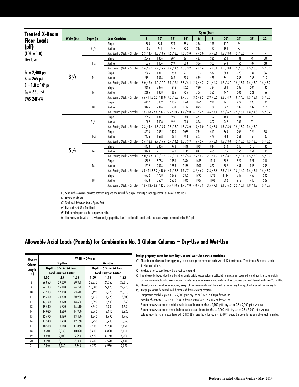| <b>Treated X-Beam</b>     |                |             |                                                                                                                                        |           |           |                                                      |           |           | Span (feet) |                         |           |                          |                          |
|---------------------------|----------------|-------------|----------------------------------------------------------------------------------------------------------------------------------------|-----------|-----------|------------------------------------------------------|-----------|-----------|-------------|-------------------------|-----------|--------------------------|--------------------------|
| <b>Floor Loads</b>        | Width (in.)    | Depth (in.) | <b>Load Condition</b>                                                                                                                  | 8'        | 10'       | 12"                                                  | 14'       | 16'       | 18'         | 20'                     | 24'       | 28'                      | 32'                      |
|                           |                |             | Simple                                                                                                                                 | 1308      | 834       | 571                                                  | 356       | 236       | 163         | 117                     | 64        |                          |                          |
| $(\text{pIf})$            |                | 91/2        | Multiple                                                                                                                               | 1006      | 641       | 443                                                  | 323       | 246       | 192         | 154                     | 87        |                          |                          |
| $(LDF = 1.0)$             |                |             | Min. Bearing (Mult. / Simple)                                                                                                          | 2.3 / 4.4 | 1.8 / 3.5 | 1.5 / 3.0                                            | 1.5 / 3.0 | 1.5 / 3.0 | 1.5 / 3.0   | 1.5 / 3.0               | 1.5 / 3.0 | $\overline{\phantom{a}}$ | $\overline{\phantom{a}}$ |
| Dry-Use                   |                |             | Simple                                                                                                                                 | 2046      | 1306      | 904                                                  | 661       | 467       | 325         | 234                     | 131       | 79                       | 50                       |
|                           |                | $11^{7}/8$  | Multiple                                                                                                                               | 1575      | 1004      | 694                                                  | 508       | 386       | 303         | 244                     | 166       | 107                      | 68                       |
|                           |                |             | Min. Bearing (Mult. / Simple)                                                                                                          | 3.6 / 6.9 |           | $2.9 / 5.5$ 2.4 / 4.6 2.0 / 3.9                      |           | 1.6 / 3.4 | 1.5 / 3.0   | 1.5 / 3.0               | 1.5 / 3.0 | 1.5 / 3.0                | 1.5 / 3.0                |
| $F_b = 2,400 \text{ psi}$ |                |             | Simple                                                                                                                                 | 2846      | 1817      | 1258                                                 | 921       | 703       | 537         | 388                     | 220       | 134                      | 86                       |
| $F_v = 265$ psi           | $3\frac{1}{2}$ | 14          | Multiple                                                                                                                               | 2191      | 1398      | 967                                                  | 708       | 539       | 423         | 341                     | 233       | 168                      | 117                      |
| $E = 1.8 \times 10^6$ psi |                |             | Min. Bearing (Mult. / Simple)                                                                                                          | 5.0 / 9.6 | 4.0 / 7.7 | $3.3 / 6.4$ 2.8 / 5.4                                |           | 2.5 / 4.7 | 2.1 / 4.2   | 1.7 / 3.7               | 1.5 / 3.1 | 1.5 / 3.0                | 1.5 / 3.0                |
|                           |                |             | Simple                                                                                                                                 | 3696      | 2376      | 1646                                                 | 1205      | 920       | 724         | 584                     | 332       | 204                      | 132                      |
| $F_{c_1} = 650$ psi       |                | 16          | Multiple                                                                                                                               | 2685      | 1828      | 1265                                                 | 926       | 706       | 555         | 447                     | 306       | 221                      | 166                      |
| <b>EWS 24F-V4</b>         |                |             | Min. Bearing (Mult. / Simple)                                                                                                          |           |           | $6.5 / 11.85.2 / 10.04.3 / 8.33.7 / 7.1$             |           | 3.2 / 6.2 |             | $2.9 / 5.5$ $2.6 / 4.9$ | 1.8 / 4.0 | 1.5 / 3.4                | 1.5 / 3.0                |
|                           |                | 18          | Simple                                                                                                                                 | 4437      | 3009      | 2085                                                 | 1528      | 1166      | 918         | 741                     | 477       | 295                      | 192                      |
|                           |                |             | Multiple                                                                                                                               | 3165      | 2316      | 1603                                                 | 1174      | 895       | 704         | 567                     | 389       | 282                      | 212                      |
|                           |                |             | Min. Bearing (Mult. / Simple)                                                                                                          |           |           | 7.8 / 13.9 6.6 / 12.7 5.5 / 10.6 4.7 / 9.0 4.1 / 7.9 |           |           | 3.6 / 7.0   | 3.3 / 6.2               | 2.5 / 5.1 | 1.8 / 4.3                | 1.5 / 3.7                |
|                           |                |             | Simple                                                                                                                                 | 2056      | 1311      | 897                                                  | 560       | 371       | 257         | 184                     | 101       | 59                       |                          |
|                           |                | $9^{1}/2$   | Multiple                                                                                                                               | 1582      | 1008      | 696                                                  | 508       | 386       | 302         | 242                     | 137       | 81                       |                          |
|                           |                |             | Min. Bearing (Mult. / Simple)                                                                                                          | 2.3 / 4.4 | 1.8 / 3.5 | 1.5 / 3.0                                            | 1.5 / 3.0 | 1.5 / 3.0 | 1.5 / 3.0   | 1.5 / 3.0               | 1.5 / 3.0 | 1.5 / 3.0                | $\overline{\phantom{a}}$ |
|                           |                |             | Simple                                                                                                                                 | 3216      | 2052      | 1420                                                 | 1039      | 734       | 511         | 368                     | 206       | 124                      | 78                       |
|                           |                | $11^{7}/8$  | Multiple                                                                                                                               | 2475      | 1578      | 1091                                                 | 798       | 607       | 476         | 383                     | 261       | 168                      | 107                      |
|                           |                |             | Min. Bearing (Mult. / Simple)                                                                                                          |           |           | $3.6 / 6.9$ 2.9 $/ 5.5$ 2.4 $/ 4.6$ 2.0 $/ 3.9$      |           | 1.6 / 3.4 | 1.5 / 3.0   | 1.5 / 3.0               | 1.5 / 3.0 | 1.5 / 3.0                | 1.5 / 3.0                |
|                           |                |             | Simple                                                                                                                                 | 4473      | 2856      | 1978                                                 | 1448      | 1104      | 844         | 610                     | 345       | 210                      | 135                      |
|                           | $5\frac{1}{2}$ | 14          | Multiple                                                                                                                               | 3444      | 2197      | 1520                                                 | 1112      | 847       | 665         | 535                     | 366       | 264                      | 183                      |
|                           |                |             | Min. Bearing (Mult. / Simple)                                                                                                          | 5.0 / 9.6 | 4.0 / 7.7 | $3.3 / 6.4$ 2.8 / 5.4                                |           | 2.5/4.7   | 2.1 / 4.2   | 1.7 / 3.7               | 1.5 / 3.1 | 1.5 / 3.0                | 1.5 / 3.0                |
|                           |                |             | Simple                                                                                                                                 | 5809      | 3733      | 2586                                                 | 1894      | 1433      | 1114        | 889                     | 522       | 321                      | 208                      |
|                           |                | 16          | Multiple                                                                                                                               | 4219      | 2873      | 1988                                                 | 1455      | 1109      | 872         | 702                     | 481       | 348                      | 259                      |
|                           |                |             | Min. Bearing (Mult. / Simple)                                                                                                          |           |           | $6.5 / 11.8 5.2 / 10.0 4.3 / 8.3 3.7 / 7.1$          |           | 3.2 / 6.2 | 2.8 / 5.5   | 2.5/4.9                 |           | $1.8 / 4.0$ 1.5 $/ 3.4$  | 1.5 / 3.0                |
|                           |                | 18          | Simple                                                                                                                                 | 6972      | 4728      | 3276                                                 | 2383      | 1795      | 1396        | 1114                    | 749       | 463                      | 302                      |
|                           |                |             | Multiple                                                                                                                               | 4973      | 3639      | 2520                                                 | 1845      | 1407      | 1106        | 892                     | 612       | 440                      | 326                      |
|                           |                |             | Min. Bearing (Mult. / Simple)   7.8 / 13.9 6.6 / 12.7 5.5 / 10.6 4.7 / 9.0 4.0 / 7.9 3.5 / 7.0 3.1 / 6.2 2.5 / 5.1 1.8 / 4.3 1.5 / 3.7 |           |           |                                                      |           |           |             |                         |           |                          |                          |

(1) SPAN is the on-center distance between supports and is valid for simple- or multiple-span applications as noted in the table.

(2) Dry-use conditions.

(3) Total load deflection limit =  $S$ pan/240.

(4) Live load  $\leq$  0.67 x Total load

(5) Full lateral support on the compression side.

(6) The values are based on the X-Beam design properties listed in in the table adn include the beam weight (assumed to be 36.5 pdf).

#### **Allowable Axial Loads (Pounds) for Combination No. 3 Glulam Columns – Dry-Use and Wet-Use**

| <b>Effective</b> | Width = $5^{1}/2$ in. |                                |        |                                |        |        |  |  |  |  |  |  |
|------------------|-----------------------|--------------------------------|--------|--------------------------------|--------|--------|--|--|--|--|--|--|
| Column           |                       | Dry-Use                        |        | Wet-Use                        |        |        |  |  |  |  |  |  |
| Length           |                       | Depth = $5^{1}/2$ in. (4 lams) |        | Depth = $5^{1}/2$ in. (4 lams) |        |        |  |  |  |  |  |  |
| (ft.)            |                       | <b>Load Duration Factor</b>    |        | <b>Load Duration Factor</b>    |        |        |  |  |  |  |  |  |
|                  | 1.00                  | 1.15                           | 1.25   | 1.00                           | 1.15   | 1.25   |  |  |  |  |  |  |
| 8                | 26,850                | 29,050                         | 30,350 | 22,270                         | 24,360 | 25,610 |  |  |  |  |  |  |
| 9                | 24,130                | 25,810                         | 26,790 | 20,380                         | 22,020 | 22,970 |  |  |  |  |  |  |
| 10               | 21,580                | 22,890                         | 23,640 | 18,490                         | 19,770 | 20,510 |  |  |  |  |  |  |
| 11               | 19,300                | 20,330                         | 20,930 | 16,710                         | 17,720 | 18,300 |  |  |  |  |  |  |
| 12               | 17,290                | 18,120                         | 18,600 | 15,090                         | 15,900 | 16,360 |  |  |  |  |  |  |
| 13               | 15,540                | 16,220                         | 16,610 | 13,640                         | 14,300 | 14,680 |  |  |  |  |  |  |
| 14               | 14,020                | 14,580                         | 14,900 | 12,360                         | 12,910 | 13,220 |  |  |  |  |  |  |
| 15               | 12,690                | 13,160                         | 13,430 | 11,240                         | 11,690 | 11,960 |  |  |  |  |  |  |
| 16               | 11,540                | 11,930                         | 12,160 | 10,250                         | 10,630 | 10,860 |  |  |  |  |  |  |
| 17               | 10,530                | 10,860                         | 11,060 | 9,380                          | 9,700  | 9,890  |  |  |  |  |  |  |
| 18               | 9,640                 | 9,930                          | 10,090 | 8,600                          | 8,890  | 9,050  |  |  |  |  |  |  |
| 19               | 8,850                 | 9,100                          | 9,250  | 7,920                          | 8,160  | 8,300  |  |  |  |  |  |  |
| 20               | 8,160                 | 8,370                          | 8,500  | 7,310                          | 7,520  | 7,640  |  |  |  |  |  |  |
| 21               | 7,540                 | 7,730                          | 7,840  | 6,770                          | 6,950  | 7,060  |  |  |  |  |  |  |

#### **Design property notes for both Dry-Use and Wet-Use service conditions**

(1) The tabulated allowable loads apply only to one-piece glulam members made with all L2D laminations (Combination 3) without special tension laminations.

(2) Applicable service conditions = dry or wet as tabulated.

(3) The tabulated allowable loads are based on simply axially loaded columns subjected to a maximum eccentricity of either 1/6 column width or 1/6 column depth, whichever is worse. For side loads, other eccentric end loads, or other combined axial and flexural loads, see 2012 NDS.

(4) The column is assumed to be unbraced, except at the column ends, and the effective column length is equal to the actual column length.

Compression parallel to grain (Fc) = 2,300 psi in dry use or 0.73 x 2,300 psi for wet use.

Modulus of elasticity (E) = 1.9 x 10<sup>6</sup> psi in dry use or 0.833 x 1.9 x 106 psi for wet use.

Flexural stress when loaded parallel to wide faces of lamination (F<sub>by</sub>) = 2,100 psi in dry use or 0.8 x 2,100 psi in wet use.

Flexural stress when loaded perpendicular to wide faces of lamination (Fbx) = 2,000 psi in dry use or 0.8 x 2,000 psi in wet use.

Volume factor for Fix is in accordance with 2012 NDS. Size factor for Fby is (12/d)½, where d is equal to the lamination width in inches.

<sup>(5)</sup> Design properties for normal load duration and dry-use service conditions: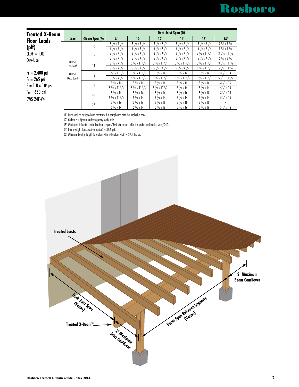# Rosboro

| <b>Treated X-Beam</b>     |                     |                  |                                     |                                     |                                     | Deck Joist Span (ft)                |                                     |                                     |
|---------------------------|---------------------|------------------|-------------------------------------|-------------------------------------|-------------------------------------|-------------------------------------|-------------------------------------|-------------------------------------|
| <b>Floor Loads</b>        | Load                | Glulam Span (ft) | 8'                                  | 10'                                 | 12'                                 | 14'                                 | 16'                                 | 18'                                 |
|                           |                     | 10               | $3\frac{1}{2} \times 9\frac{1}{2}$  | $3\frac{1}{2} \times 9\frac{1}{2}$  | $3\frac{1}{2} \times 9\frac{1}{2}$  | $3\frac{1}{2} \times 9\frac{1}{2}$  | $3^{1}/2 \times 9^{1}/2$            | $3\frac{1}{2} \times 9\frac{1}{2}$  |
| $(\text{plf})$            |                     |                  | $5\frac{1}{2} \times 9\frac{1}{2}$  | $5\frac{1}{2} \times 9\frac{1}{2}$  | $5\frac{1}{2}$ x 9 $\frac{1}{2}$    | $5\frac{1}{2} \times 9\frac{1}{2}$  | $5\frac{1}{2} \times 9\frac{1}{2}$  | $5\frac{1}{2} \times 9\frac{1}{2}$  |
| $(LDF = 1.0)$             |                     | 12               | $3^{1}/2 \times 9^{1}/2$            | $3^{1}/2 \times 9^{1}/2$            | $3^{1}/2 \times 9^{1}/2$            | $3^{1}/2 \times 9^{1}/2$            | $3\frac{1}{2} \times 11\frac{7}{8}$ | $3\frac{1}{2} \times 11\frac{7}{8}$ |
| Dry-Use                   | 40 PSF<br>Live Load |                  | $5\frac{1}{2} \times 9\frac{1}{2}$  | $5\frac{1}{2} \times 9\frac{1}{2}$  | $5\frac{1}{2}$ x 9 $\frac{1}{2}$    | $5\frac{1}{2} \times 9\frac{1}{2}$  | $5\frac{1}{2} \times 9\frac{1}{2}$  | $5\frac{1}{2} \times 9\frac{1}{2}$  |
|                           |                     | 14               | $3^{1}/2 \times 9^{1}/2$            | $3\frac{1}{2} \times 11\frac{7}{8}$ | $3\frac{1}{2} \times 11\frac{7}{8}$ | $3\frac{1}{2} \times 11\frac{7}{8}$ | $3\frac{1}{2} \times 11\frac{7}{8}$ | $3\frac{1}{2} \times 11\frac{7}{8}$ |
|                           |                     |                  | $5\frac{1}{2} \times 9\frac{1}{2}$  | $5\frac{1}{2} \times 9\frac{1}{2}$  | $5\frac{1}{2}$ x 9 $\frac{1}{2}$    | $5\frac{1}{2}$ x 9 $\frac{1}{2}$    | $5\frac{1}{2} \times 11\frac{7}{8}$ | $5\frac{1}{2} \times 11\frac{7}{8}$ |
| $F_b = 2,400$ psi         | <b>10 PSF</b>       | 16               | $3\frac{1}{2} \times 11\frac{7}{8}$ | $3\frac{1}{2} \times 11\frac{7}{8}$ | $3\frac{1}{2} \times 14$            | $3\frac{1}{2} \times 14$            | $3\frac{1}{2} \times 14$            | $3^{1}/2 \times 14$                 |
| $F_v = 265$ psi           | Dead Load           |                  | $5\frac{1}{2} \times 9\frac{1}{2}$  | $5\frac{1}{2} \times 11\frac{7}{8}$ | $5\frac{1}{2} \times 11\frac{7}{8}$ | $5\frac{1}{2} \times 11\frac{7}{8}$ | $5\frac{1}{2} \times 11\frac{7}{8}$ | $5\frac{1}{2} \times 11\frac{7}{8}$ |
| $E = 1.8 \times 10^6$ psi |                     | 18               | $3^{1}/2 \times 14$                 | $3^{1}/2 \times 14$                 | $3\frac{1}{2} \times 14$            | $3^{1}/2 \times 14$                 | $3^{1}/2 \times 16$                 | $3^{1}/2 \times 16$                 |
|                           |                     |                  | $5\frac{1}{2} \times 11\frac{7}{8}$ | $5\frac{1}{2} \times 11\frac{7}{8}$ | $5\frac{1}{2} \times 11\frac{7}{8}$ | $5\frac{1}{2} \times 14$            | $5\frac{1}{2}$ x 14                 | $5\frac{1}{2} \times 14$            |
| $F_{c_1} = 650$ psi       |                     | 20               | $3^{1}/2 \times 14$                 | $3^{1}/2 \times 16$                 | $3\frac{1}{2} \times 16$            | $3^{1}/2 \times 16$                 | $3^{1}/2 \times 18$                 | $3^{1}/2 \times 18$                 |
| <b>EWS 24F-V4</b>         |                     |                  | $5\frac{1}{2} \times 11\frac{7}{8}$ | $5\frac{1}{2}$ x 14                 | $5\frac{1}{2} \times 14$            | $5\frac{1}{2}$ x 14                 | $5\frac{1}{2}$ x 14                 | $5\frac{1}{2}$ x 16                 |
|                           |                     | 22               | $3\frac{1}{2} \times 16$            | $3^{1}/2 \times 16$                 | $3\frac{1}{2} \times 18$            | $3^{1}/2 \times 18$                 | $3\frac{1}{2} \times 18$            |                                     |
|                           |                     |                  | $5\frac{1}{2}$ x 14                 | $5\frac{1}{2}$ x 14                 | $5\frac{1}{2} \times 16$            | $5\frac{1}{2}$ x 16                 | $5\frac{1}{2}$ x 16                 | $5\frac{1}{2} \times 16$            |

(1) Deck shall be designed and constructed in compliance with the applicable codes.

(2) Glulam is subject to uniform gravity loads only.

(3) Maximum deflection under live load = span/360; Maximum deflection under total load = span/240.

(4) Beam weight (preservative treated) =  $36.5$  pcf.

(5) Minimum bearing length for glulam with full glulam width =  $3^{1}/2$  inches.